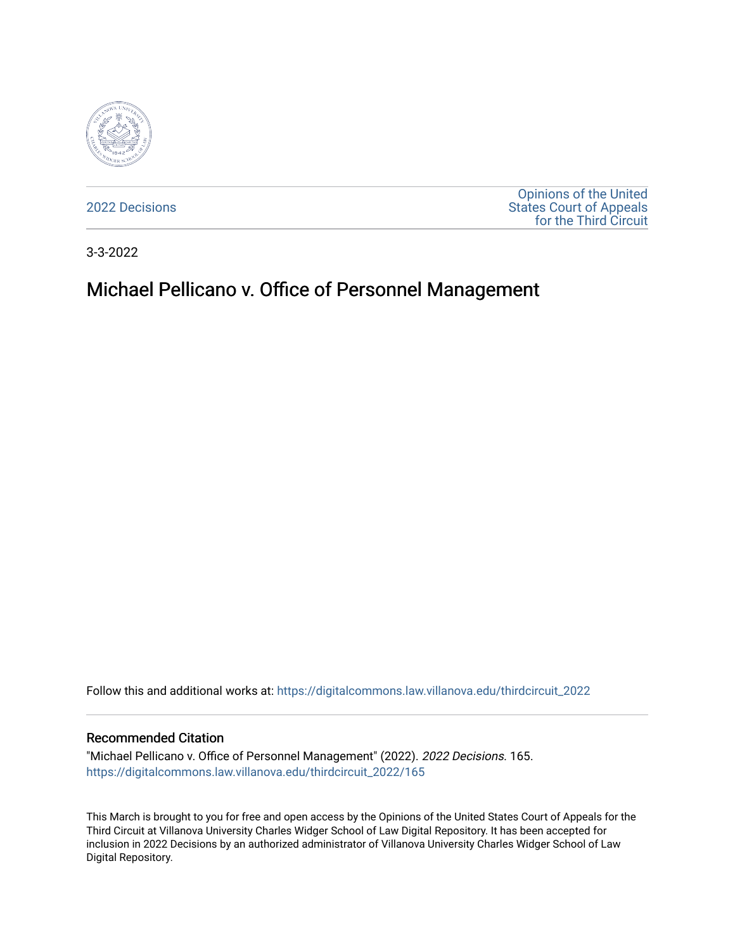

[2022 Decisions](https://digitalcommons.law.villanova.edu/thirdcircuit_2022)

[Opinions of the United](https://digitalcommons.law.villanova.edu/thirdcircuit)  [States Court of Appeals](https://digitalcommons.law.villanova.edu/thirdcircuit)  [for the Third Circuit](https://digitalcommons.law.villanova.edu/thirdcircuit) 

3-3-2022

# Michael Pellicano v. Office of Personnel Management

Follow this and additional works at: [https://digitalcommons.law.villanova.edu/thirdcircuit\\_2022](https://digitalcommons.law.villanova.edu/thirdcircuit_2022?utm_source=digitalcommons.law.villanova.edu%2Fthirdcircuit_2022%2F165&utm_medium=PDF&utm_campaign=PDFCoverPages) 

#### Recommended Citation

"Michael Pellicano v. Office of Personnel Management" (2022). 2022 Decisions. 165. [https://digitalcommons.law.villanova.edu/thirdcircuit\\_2022/165](https://digitalcommons.law.villanova.edu/thirdcircuit_2022/165?utm_source=digitalcommons.law.villanova.edu%2Fthirdcircuit_2022%2F165&utm_medium=PDF&utm_campaign=PDFCoverPages)

This March is brought to you for free and open access by the Opinions of the United States Court of Appeals for the Third Circuit at Villanova University Charles Widger School of Law Digital Repository. It has been accepted for inclusion in 2022 Decisions by an authorized administrator of Villanova University Charles Widger School of Law Digital Repository.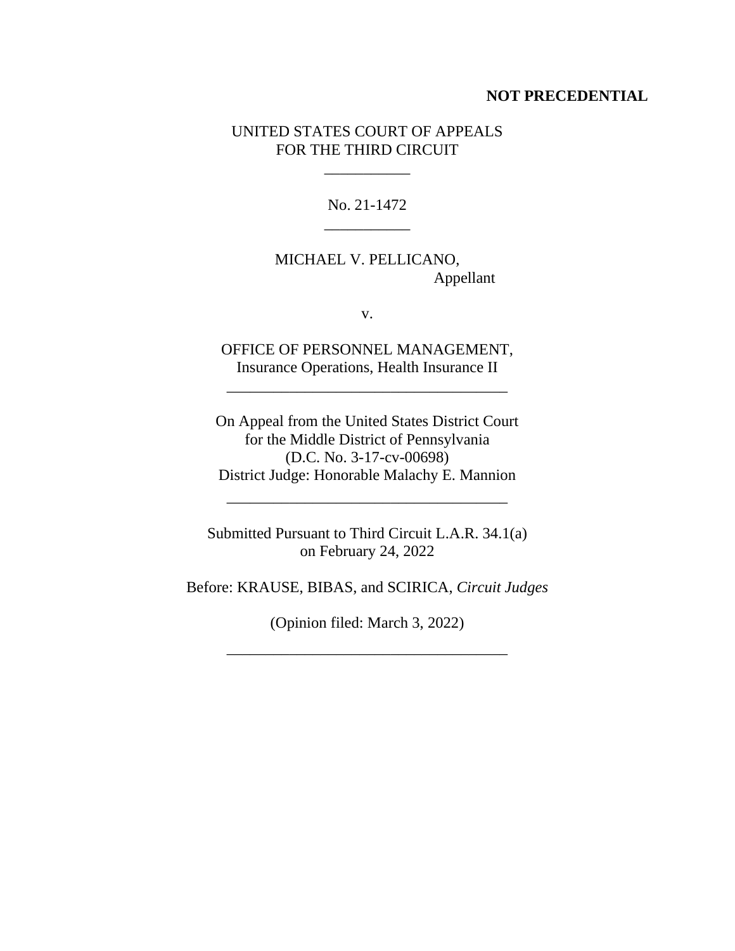#### **NOT PRECEDENTIAL**

#### UNITED STATES COURT OF APPEALS FOR THE THIRD CIRCUIT

 $\mathcal{L}=\mathcal{L}$ 

No. 21-1472 \_\_\_\_\_\_\_\_\_\_\_

# MICHAEL V. PELLICANO, Appellant

v.

OFFICE OF PERSONNEL MANAGEMENT, Insurance Operations, Health Insurance II

\_\_\_\_\_\_\_\_\_\_\_\_\_\_\_\_\_\_\_\_\_\_\_\_\_\_\_\_\_\_\_\_\_\_\_\_

On Appeal from the United States District Court for the Middle District of Pennsylvania (D.C. No. 3-17-cv-00698) District Judge: Honorable Malachy E. Mannion

\_\_\_\_\_\_\_\_\_\_\_\_\_\_\_\_\_\_\_\_\_\_\_\_\_\_\_\_\_\_\_\_\_\_\_\_

Submitted Pursuant to Third Circuit L.A.R. 34.1(a) on February 24, 2022

Before: KRAUSE, BIBAS, and SCIRICA, *Circuit Judges*

(Opinion filed: March 3, 2022)

\_\_\_\_\_\_\_\_\_\_\_\_\_\_\_\_\_\_\_\_\_\_\_\_\_\_\_\_\_\_\_\_\_\_\_\_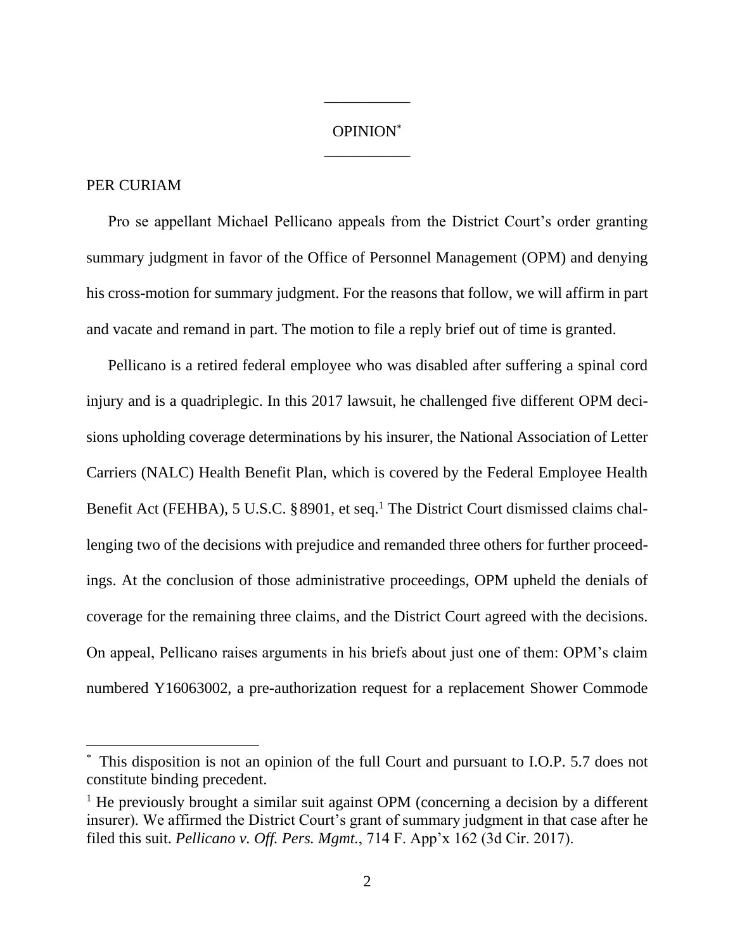## OPINION\* \_\_\_\_\_\_\_\_\_\_\_

\_\_\_\_\_\_\_\_\_\_\_

### PER CURIAM

Pro se appellant Michael Pellicano appeals from the District Court's order granting summary judgment in favor of the Office of Personnel Management (OPM) and denying his cross-motion for summary judgment. For the reasons that follow, we will affirm in part and vacate and remand in part. The motion to file a reply brief out of time is granted.

Pellicano is a retired federal employee who was disabled after suffering a spinal cord injury and is a quadriplegic. In this 2017 lawsuit, he challenged five different OPM decisions upholding coverage determinations by his insurer, the National Association of Letter Carriers (NALC) Health Benefit Plan, which is covered by the Federal Employee Health Benefit Act (FEHBA), 5 U.S.C. §8901, et seq.<sup>1</sup> The District Court dismissed claims challenging two of the decisions with prejudice and remanded three others for further proceedings. At the conclusion of those administrative proceedings, OPM upheld the denials of coverage for the remaining three claims, and the District Court agreed with the decisions. On appeal, Pellicano raises arguments in his briefs about just one of them: OPM's claim numbered Y16063002, a pre-authorization request for a replacement Shower Commode

This disposition is not an opinion of the full Court and pursuant to I.O.P. 5.7 does not constitute binding precedent.

<sup>&</sup>lt;sup>1</sup> He previously brought a similar suit against OPM (concerning a decision by a different insurer). We affirmed the District Court's grant of summary judgment in that case after he filed this suit. *Pellicano v. Off. Pers. Mgmt.*, 714 F. App'x 162 (3d Cir. 2017).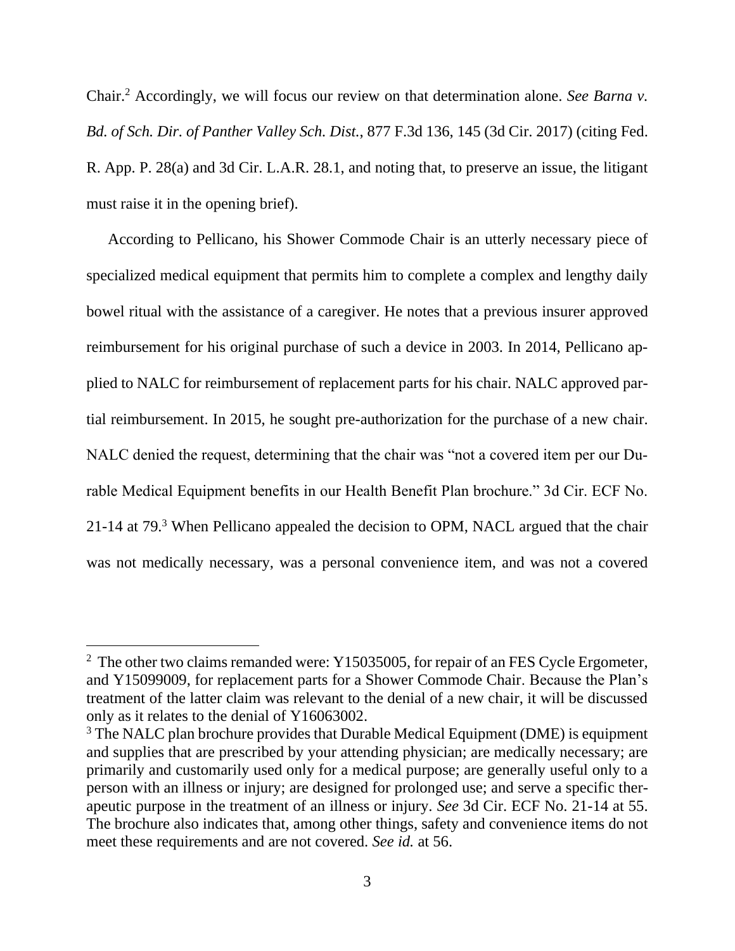Chair.<sup>2</sup> Accordingly, we will focus our review on that determination alone. *See Barna v. Bd. of Sch. Dir. of Panther Valley Sch. Dist.*, 877 F.3d 136, 145 (3d Cir. 2017) (citing Fed. R. App. P. 28(a) and 3d Cir. L.A.R. 28.1, and noting that, to preserve an issue, the litigant must raise it in the opening brief).

According to Pellicano, his Shower Commode Chair is an utterly necessary piece of specialized medical equipment that permits him to complete a complex and lengthy daily bowel ritual with the assistance of a caregiver. He notes that a previous insurer approved reimbursement for his original purchase of such a device in 2003. In 2014, Pellicano applied to NALC for reimbursement of replacement parts for his chair. NALC approved partial reimbursement. In 2015, he sought pre-authorization for the purchase of a new chair. NALC denied the request, determining that the chair was "not a covered item per our Durable Medical Equipment benefits in our Health Benefit Plan brochure." 3d Cir. ECF No. 21-14 at 79.<sup>3</sup> When Pellicano appealed the decision to OPM, NACL argued that the chair was not medically necessary, was a personal convenience item, and was not a covered

<sup>&</sup>lt;sup>2</sup> The other two claims remanded were: Y15035005, for repair of an FES Cycle Ergometer, and Y15099009, for replacement parts for a Shower Commode Chair. Because the Plan's treatment of the latter claim was relevant to the denial of a new chair, it will be discussed only as it relates to the denial of Y16063002.

<sup>&</sup>lt;sup>3</sup> The NALC plan brochure provides that Durable Medical Equipment (DME) is equipment and supplies that are prescribed by your attending physician; are medically necessary; are primarily and customarily used only for a medical purpose; are generally useful only to a person with an illness or injury; are designed for prolonged use; and serve a specific therapeutic purpose in the treatment of an illness or injury. *See* 3d Cir. ECF No. 21-14 at 55. The brochure also indicates that, among other things, safety and convenience items do not meet these requirements and are not covered. *See id.* at 56.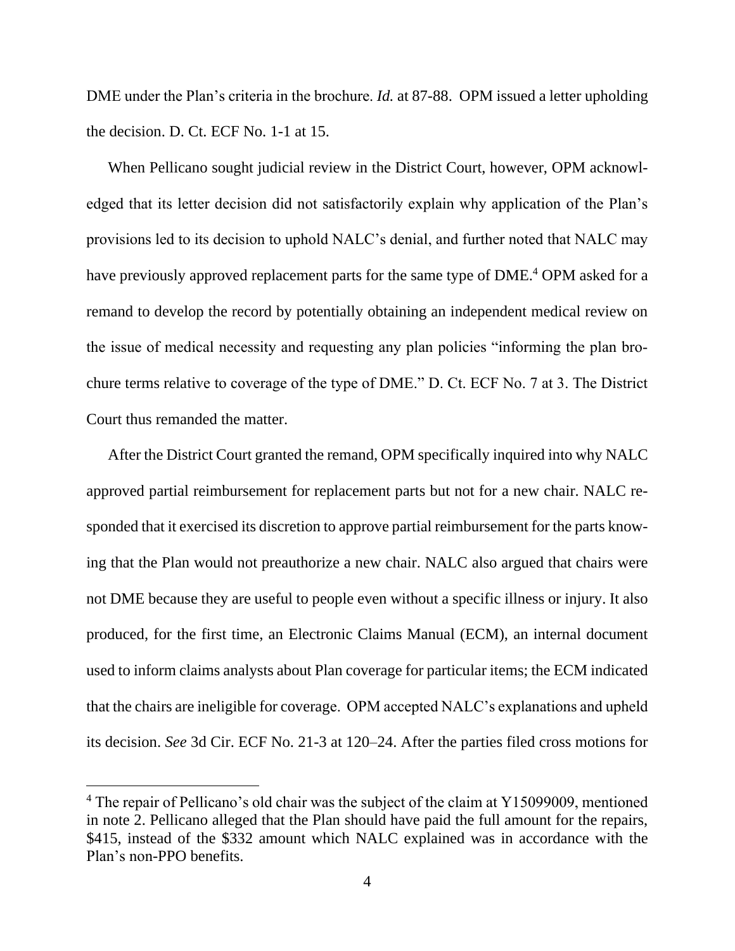DME under the Plan's criteria in the brochure. *Id.* at 87-88. OPM issued a letter upholding the decision. D. Ct. ECF No. 1-1 at 15.

When Pellicano sought judicial review in the District Court, however, OPM acknowledged that its letter decision did not satisfactorily explain why application of the Plan's provisions led to its decision to uphold NALC's denial, and further noted that NALC may have previously approved replacement parts for the same type of DME.<sup>4</sup> OPM asked for a remand to develop the record by potentially obtaining an independent medical review on the issue of medical necessity and requesting any plan policies "informing the plan brochure terms relative to coverage of the type of DME." D. Ct. ECF No. 7 at 3. The District Court thus remanded the matter.

After the District Court granted the remand, OPM specifically inquired into why NALC approved partial reimbursement for replacement parts but not for a new chair. NALC responded that it exercised its discretion to approve partial reimbursement for the parts knowing that the Plan would not preauthorize a new chair. NALC also argued that chairs were not DME because they are useful to people even without a specific illness or injury. It also produced, for the first time, an Electronic Claims Manual (ECM), an internal document used to inform claims analysts about Plan coverage for particular items; the ECM indicated that the chairs are ineligible for coverage. OPM accepted NALC's explanations and upheld its decision. *See* 3d Cir. ECF No. 21-3 at 120–24. After the parties filed cross motions for

<sup>&</sup>lt;sup>4</sup> The repair of Pellicano's old chair was the subject of the claim at Y15099009, mentioned in note 2. Pellicano alleged that the Plan should have paid the full amount for the repairs, \$415, instead of the \$332 amount which NALC explained was in accordance with the Plan's non-PPO benefits.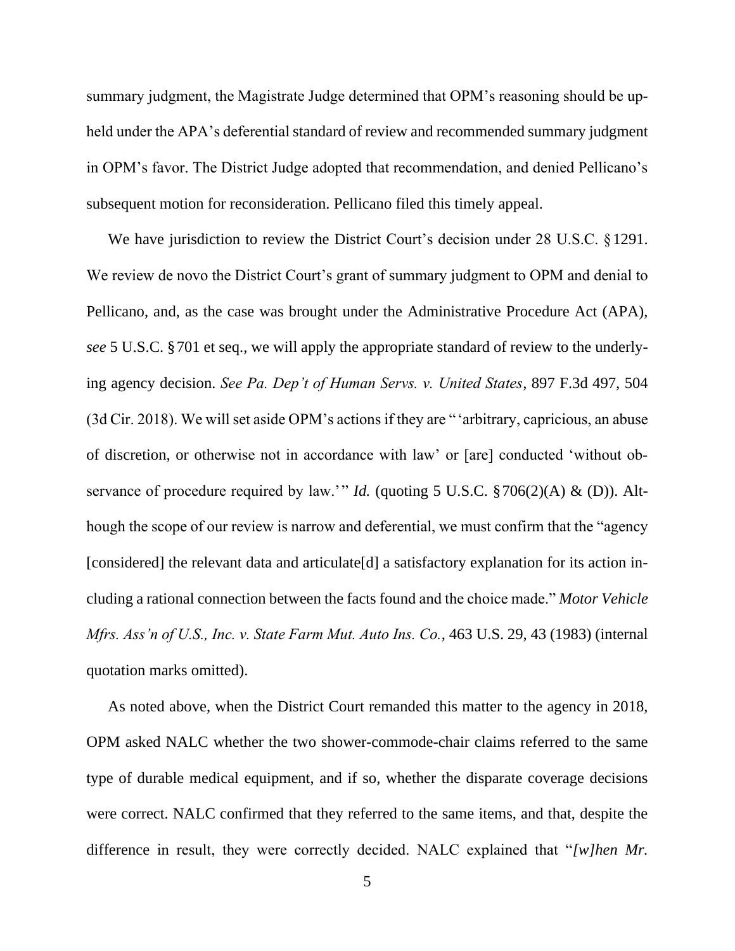summary judgment, the Magistrate Judge determined that OPM's reasoning should be upheld under the APA's deferential standard of review and recommended summary judgment in OPM's favor. The District Judge adopted that recommendation, and denied Pellicano's subsequent motion for reconsideration. Pellicano filed this timely appeal.

We have jurisdiction to review the District Court's decision under 28 U.S.C. §1291. We review de novo the District Court's grant of summary judgment to OPM and denial to Pellicano, and, as the case was brought under the Administrative Procedure Act (APA), *see* 5 U.S.C. §701 et seq., we will apply the appropriate standard of review to the underlying agency decision. *See Pa. Dep't of Human Servs. v. United States*, 897 F.3d 497, 504 (3d Cir. 2018). We will set aside OPM's actions if they are "'arbitrary, capricious, an abuse of discretion, or otherwise not in accordance with law' or [are] conducted 'without observance of procedure required by law.'" *Id.* (quoting 5 U.S.C. §706(2)(A) & (D)). Although the scope of our review is narrow and deferential, we must confirm that the "agency [considered] the relevant data and articulate<sup>[d]</sup> a satisfactory explanation for its action including a rational connection between the facts found and the choice made." *Motor Vehicle Mfrs. Ass'n of U.S., Inc. v. State Farm Mut. Auto Ins. Co.*, 463 U.S. 29, 43 (1983) (internal quotation marks omitted).

As noted above, when the District Court remanded this matter to the agency in 2018, OPM asked NALC whether the two shower-commode-chair claims referred to the same type of durable medical equipment, and if so, whether the disparate coverage decisions were correct. NALC confirmed that they referred to the same items, and that, despite the difference in result, they were correctly decided. NALC explained that "*[w]hen Mr.*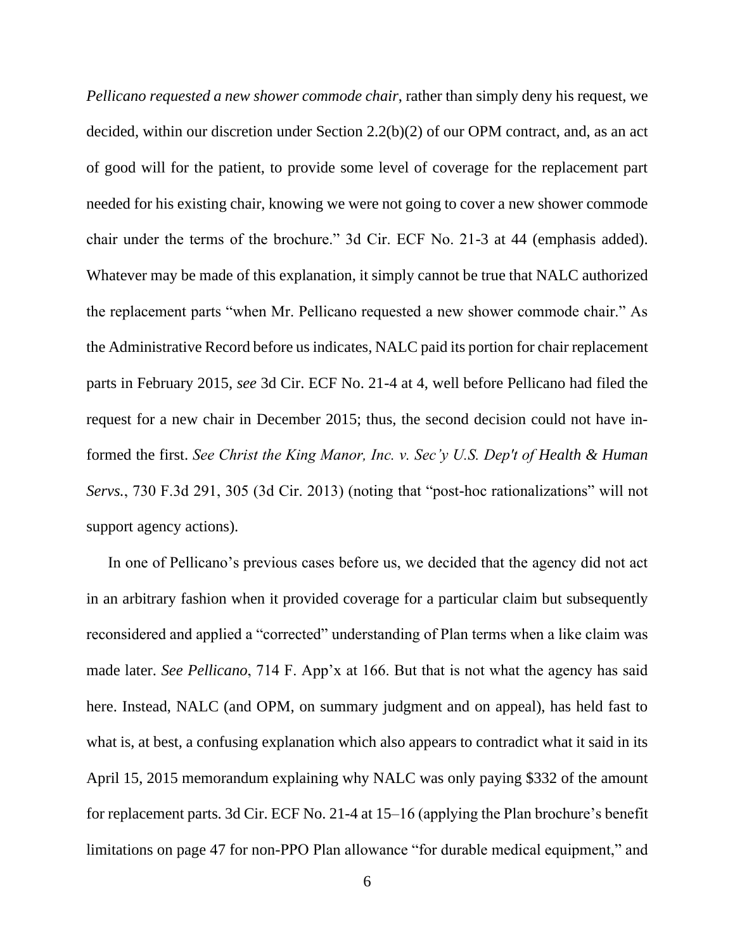*Pellicano requested a new shower commode chair*, rather than simply deny his request, we decided, within our discretion under Section 2.2(b)(2) of our OPM contract, and, as an act of good will for the patient, to provide some level of coverage for the replacement part needed for his existing chair, knowing we were not going to cover a new shower commode chair under the terms of the brochure." 3d Cir. ECF No. 21-3 at 44 (emphasis added). Whatever may be made of this explanation, it simply cannot be true that NALC authorized the replacement parts "when Mr. Pellicano requested a new shower commode chair." As the Administrative Record before us indicates, NALC paid its portion for chair replacement parts in February 2015, *see* 3d Cir. ECF No. 21-4 at 4, well before Pellicano had filed the request for a new chair in December 2015; thus, the second decision could not have informed the first. *See Christ the King Manor, Inc. v. Sec'y U.S. Dep't of Health & Human Servs.*, 730 F.3d 291, 305 (3d Cir. 2013) (noting that "post-hoc rationalizations" will not support agency actions).

In one of Pellicano's previous cases before us, we decided that the agency did not act in an arbitrary fashion when it provided coverage for a particular claim but subsequently reconsidered and applied a "corrected" understanding of Plan terms when a like claim was made later. *See Pellicano*, 714 F. App'x at 166. But that is not what the agency has said here. Instead, NALC (and OPM, on summary judgment and on appeal), has held fast to what is, at best, a confusing explanation which also appears to contradict what it said in its April 15, 2015 memorandum explaining why NALC was only paying \$332 of the amount for replacement parts. 3d Cir. ECF No. 21-4 at 15–16 (applying the Plan brochure's benefit limitations on page 47 for non-PPO Plan allowance "for durable medical equipment," and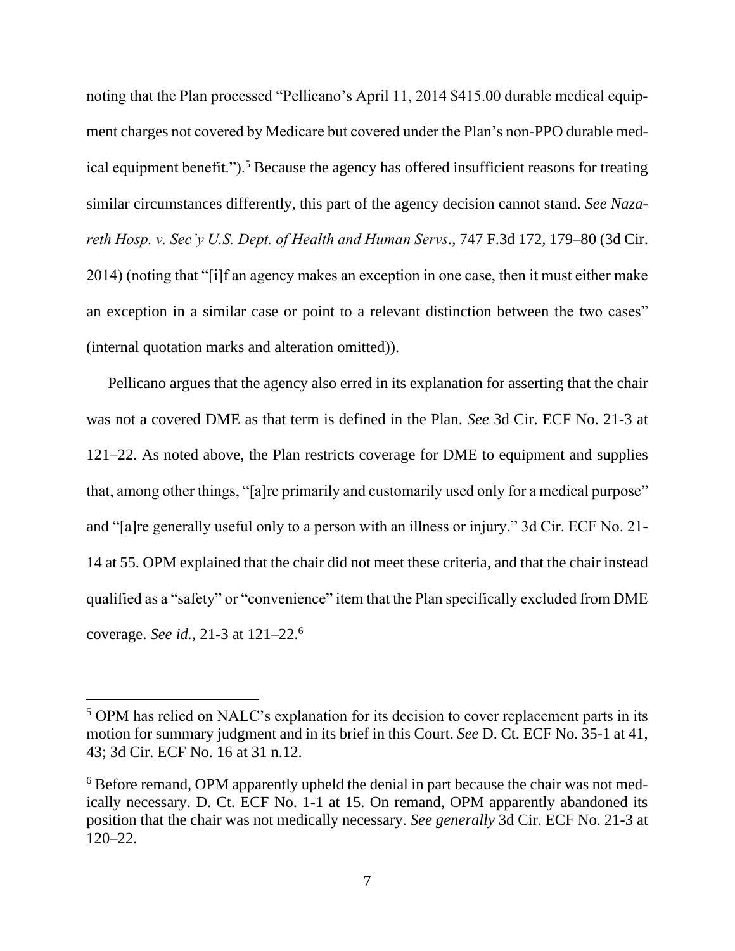noting that the Plan processed "Pellicano's April 11, 2014 \$415.00 durable medical equipment charges not covered by Medicare but covered under the Plan's non-PPO durable medical equipment benefit.").<sup>5</sup> Because the agency has offered insufficient reasons for treating similar circumstances differently, this part of the agency decision cannot stand. *See Nazareth Hosp. v. Sec'y U.S. Dept. of Health and Human Servs.*, 747 F.3d 172, 179–80 (3d Cir. 2014) (noting that "[i]f an agency makes an exception in one case, then it must either make an exception in a similar case or point to a relevant distinction between the two cases" (internal quotation marks and alteration omitted)).

Pellicano argues that the agency also erred in its explanation for asserting that the chair was not a covered DME as that term is defined in the Plan. *See* 3d Cir. ECF No. 21-3 at 121–22. As noted above, the Plan restricts coverage for DME to equipment and supplies that, among other things, "[a]re primarily and customarily used only for a medical purpose" and "[a]re generally useful only to a person with an illness or injury." 3d Cir. ECF No. 21- 14 at 55. OPM explained that the chair did not meet these criteria, and that the chair instead qualified as a "safety" or "convenience" item that the Plan specifically excluded from DME coverage. *See id.*, 21-3 at 121–22.<sup>6</sup>

<sup>5</sup> OPM has relied on NALC's explanation for its decision to cover replacement parts in its motion for summary judgment and in its brief in this Court. *See* D. Ct. ECF No. 35-1 at 41, 43; 3d Cir. ECF No. 16 at 31 n.12.

<sup>&</sup>lt;sup>6</sup> Before remand, OPM apparently upheld the denial in part because the chair was not medically necessary. D. Ct. ECF No. 1-1 at 15. On remand, OPM apparently abandoned its position that the chair was not medically necessary. *See generally* 3d Cir. ECF No. 21-3 at 120–22.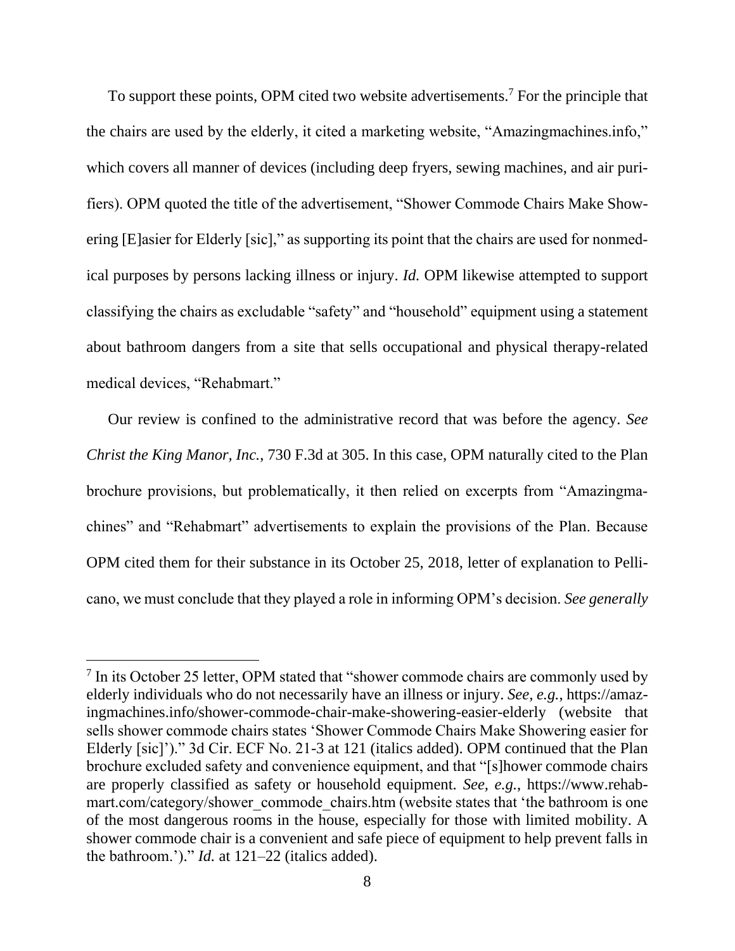To support these points, OPM cited two website advertisements.<sup>7</sup> For the principle that the chairs are used by the elderly, it cited a marketing website, "Amazingmachines.info," which covers all manner of devices (including deep fryers, sewing machines, and air purifiers). OPM quoted the title of the advertisement, "Shower Commode Chairs Make Showering [E]asier for Elderly [sic]," as supporting its point that the chairs are used for nonmedical purposes by persons lacking illness or injury. *Id.* OPM likewise attempted to support classifying the chairs as excludable "safety" and "household" equipment using a statement about bathroom dangers from a site that sells occupational and physical therapy-related medical devices, "Rehabmart."

Our review is confined to the administrative record that was before the agency. *See Christ the King Manor, Inc.*, 730 F.3d at 305. In this case, OPM naturally cited to the Plan brochure provisions, but problematically, it then relied on excerpts from "Amazingmachines" and "Rehabmart" advertisements to explain the provisions of the Plan. Because OPM cited them for their substance in its October 25, 2018, letter of explanation to Pellicano, we must conclude that they played a role in informing OPM's decision. *See generally* 

<sup>&</sup>lt;sup>7</sup> In its October 25 letter, OPM stated that "shower commode chairs are commonly used by elderly individuals who do not necessarily have an illness or injury. *See, e.g.*, https://amazingmachines.info/shower-commode-chair-make-showering-easier-elderly (website that sells shower commode chairs states 'Shower Commode Chairs Make Showering easier for Elderly [sic]')." 3d Cir. ECF No. 21-3 at 121 (italics added). OPM continued that the Plan brochure excluded safety and convenience equipment, and that "[s]hower commode chairs are properly classified as safety or household equipment. *See, e.g.*, https://www.rehabmart.com/category/shower\_commode\_chairs.htm (website states that 'the bathroom is one of the most dangerous rooms in the house, especially for those with limited mobility. A shower commode chair is a convenient and safe piece of equipment to help prevent falls in the bathroom.')." *Id.* at 121–22 (italics added).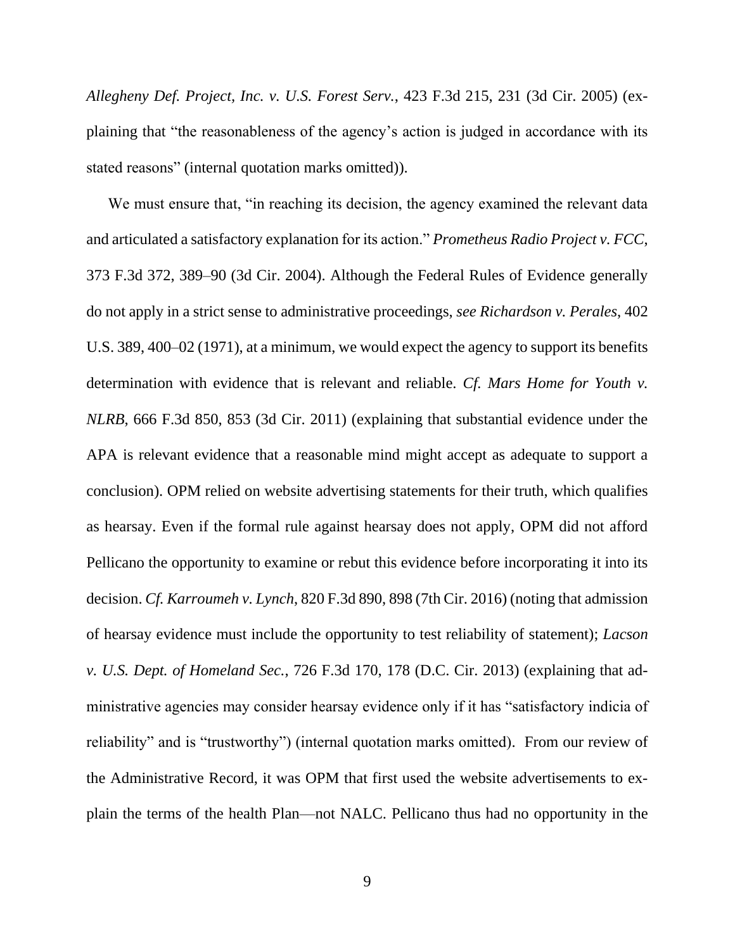*Allegheny Def. Project, Inc. v. U.S. Forest Serv.*, 423 F.3d 215, 231 (3d Cir. 2005) (explaining that "the reasonableness of the agency's action is judged in accordance with its stated reasons" (internal quotation marks omitted)).

We must ensure that, "in reaching its decision, the agency examined the relevant data and articulated a satisfactory explanation for its action." *Prometheus Radio Project v. FCC*, 373 F.3d 372, 389–90 (3d Cir. 2004). Although the Federal Rules of Evidence generally do not apply in a strict sense to administrative proceedings, *see Richardson v. Perales*, 402 U.S. 389, 400–02 (1971), at a minimum, we would expect the agency to support its benefits determination with evidence that is relevant and reliable. *Cf. Mars Home for Youth v. NLRB*, 666 F.3d 850, 853 (3d Cir. 2011) (explaining that substantial evidence under the APA is relevant evidence that a reasonable mind might accept as adequate to support a conclusion). OPM relied on website advertising statements for their truth, which qualifies as hearsay. Even if the formal rule against hearsay does not apply, OPM did not afford Pellicano the opportunity to examine or rebut this evidence before incorporating it into its decision. *Cf. Karroumeh v. Lynch*, 820 F.3d 890, 898 (7th Cir. 2016) (noting that admission of hearsay evidence must include the opportunity to test reliability of statement); *Lacson v. U.S. Dept. of Homeland Sec.*, 726 F.3d 170, 178 (D.C. Cir. 2013) (explaining that administrative agencies may consider hearsay evidence only if it has "satisfactory indicia of reliability" and is "trustworthy") (internal quotation marks omitted). From our review of the Administrative Record, it was OPM that first used the website advertisements to explain the terms of the health Plan—not NALC. Pellicano thus had no opportunity in the